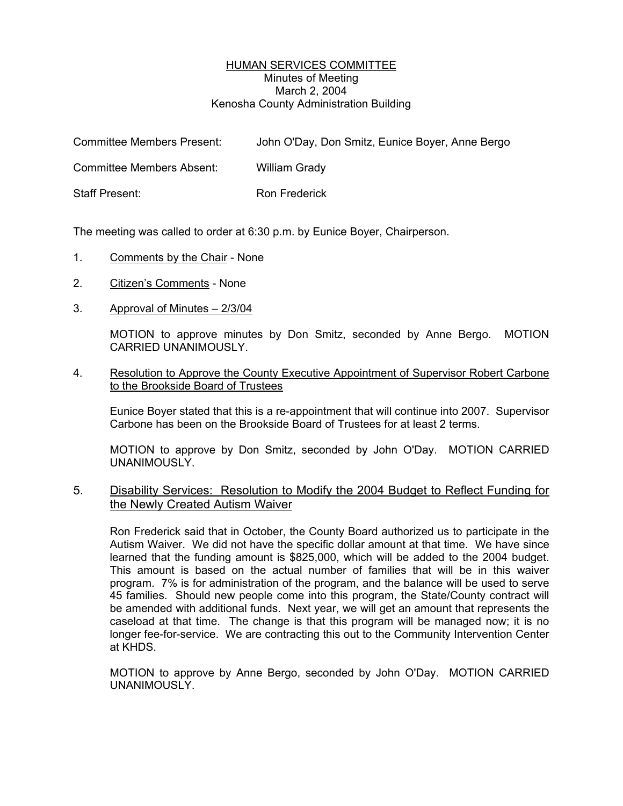## HUMAN SERVICES COMMITTEE Minutes of Meeting March 2, 2004 Kenosha County Administration Building

| <b>Committee Members Present:</b> | John O'Day, Don Smitz, Eunice Boyer, Anne Bergo |
|-----------------------------------|-------------------------------------------------|
| Committee Members Absent:         | William Grady                                   |
| Staff Present:                    | Ron Frederick                                   |

The meeting was called to order at 6:30 p.m. by Eunice Boyer, Chairperson.

- 1. Comments by the Chair None
- 2. Citizen's Comments None
- 3. Approval of Minutes 2/3/04

MOTION to approve minutes by Don Smitz, seconded by Anne Bergo. MOTION CARRIED UNANIMOUSLY.

## 4. Resolution to Approve the County Executive Appointment of Supervisor Robert Carbone to the Brookside Board of Trustees

Eunice Boyer stated that this is a re-appointment that will continue into 2007. Supervisor Carbone has been on the Brookside Board of Trustees for at least 2 terms.

MOTION to approve by Don Smitz, seconded by John O'Day. MOTION CARRIED UNANIMOUSLY.

## 5. Disability Services: Resolution to Modify the 2004 Budget to Reflect Funding for the Newly Created Autism Waiver

Ron Frederick said that in October, the County Board authorized us to participate in the Autism Waiver. We did not have the specific dollar amount at that time. We have since learned that the funding amount is \$825,000, which will be added to the 2004 budget. This amount is based on the actual number of families that will be in this waiver program. 7% is for administration of the program, and the balance will be used to serve 45 families. Should new people come into this program, the State/County contract will be amended with additional funds. Next year, we will get an amount that represents the caseload at that time. The change is that this program will be managed now; it is no longer fee-for-service. We are contracting this out to the Community Intervention Center at KHDS.

MOTION to approve by Anne Bergo, seconded by John O'Day. MOTION CARRIED UNANIMOUSLY.